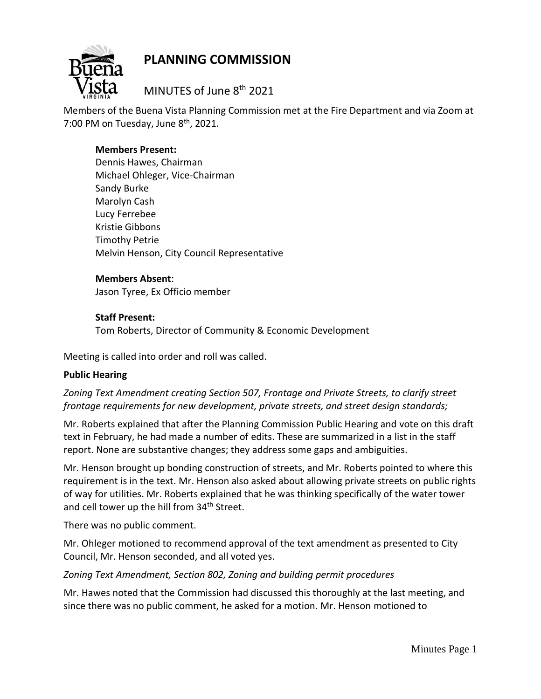

# **PLANNING COMMISSION**

MINUTES of June 8th 2021

Members of the Buena Vista Planning Commission met at the Fire Department and via Zoom at 7:00 PM on Tuesday, June  $8<sup>th</sup>$ , 2021.

# **Members Present:**

Dennis Hawes, Chairman Michael Ohleger, Vice-Chairman Sandy Burke Marolyn Cash Lucy Ferrebee Kristie Gibbons Timothy Petrie Melvin Henson, City Council Representative

# **Members Absent**:

Jason Tyree, Ex Officio member

## **Staff Present:**

Tom Roberts, Director of Community & Economic Development

Meeting is called into order and roll was called.

# **Public Hearing**

# *Zoning Text Amendment creating Section 507, Frontage and Private Streets, to clarify street frontage requirements for new development, private streets, and street design standards;*

Mr. Roberts explained that after the Planning Commission Public Hearing and vote on this draft text in February, he had made a number of edits. These are summarized in a list in the staff report. None are substantive changes; they address some gaps and ambiguities.

Mr. Henson brought up bonding construction of streets, and Mr. Roberts pointed to where this requirement is in the text. Mr. Henson also asked about allowing private streets on public rights of way for utilities. Mr. Roberts explained that he was thinking specifically of the water tower and cell tower up the hill from 34<sup>th</sup> Street.

There was no public comment.

Mr. Ohleger motioned to recommend approval of the text amendment as presented to City Council, Mr. Henson seconded, and all voted yes.

*Zoning Text Amendment, Section 802, Zoning and building permit procedures*

Mr. Hawes noted that the Commission had discussed this thoroughly at the last meeting, and since there was no public comment, he asked for a motion. Mr. Henson motioned to